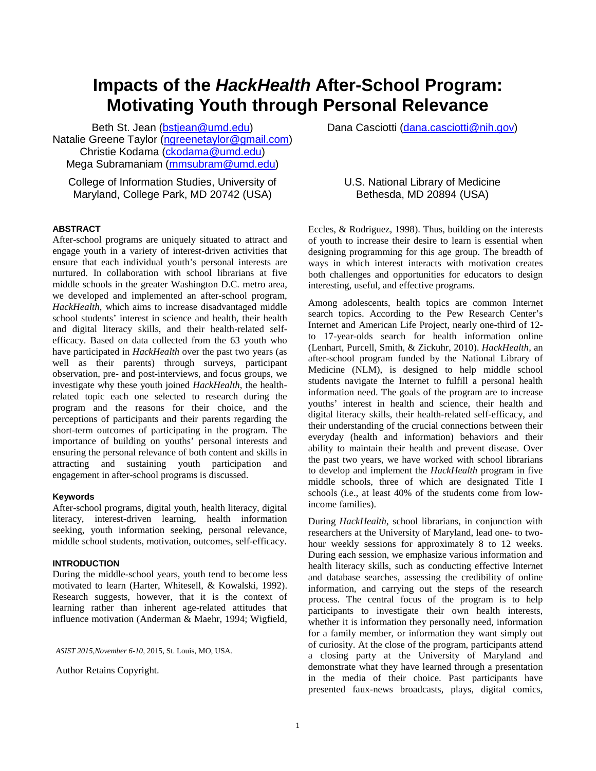# **Impacts of the** *HackHealth* **After-School Program: Motivating Youth through Personal Relevance**

Beth St. Jean [\(bstjean@umd.edu\)](mailto:bstjean@umd.edu) Natalie Greene Taylor [\(ngreenetaylor@gmail.com\)](mailto:ngreenetaylor@gmail.com) Christie Kodama [\(ckodama@umd.edu\)](mailto:ckodama@umd.edu) Mega Subramaniam [\(mmsubram@umd.edu\)](mailto:mmsubram@umd.edu)

College of Information Studies, University of Maryland, College Park, MD 20742 (USA)

## **ABSTRACT**

After-school programs are uniquely situated to attract and engage youth in a variety of interest-driven activities that ensure that each individual youth's personal interests are nurtured. In collaboration with school librarians at five middle schools in the greater Washington D.C. metro area, we developed and implemented an after-school program, *HackHealth*, which aims to increase disadvantaged middle school students' interest in science and health, their health and digital literacy skills, and their health-related selfefficacy. Based on data collected from the 63 youth who have participated in *HackHealth* over the past two years (as well as their parents) through surveys, participant observation, pre- and post-interviews, and focus groups, we investigate why these youth joined *HackHealth*, the healthrelated topic each one selected to research during the program and the reasons for their choice, and the perceptions of participants and their parents regarding the short-term outcomes of participating in the program. The importance of building on youths' personal interests and ensuring the personal relevance of both content and skills in attracting and sustaining youth participation and engagement in after-school programs is discussed.

# **Keywords**

After-school programs, digital youth, health literacy, digital literacy, interest-driven learning, health information seeking, youth information seeking, personal relevance, middle school students, motivation, outcomes, self-efficacy.

# **INTRODUCTION**

During the middle-school years, youth tend to become less motivated to learn (Harter, Whitesell, & Kowalski, 1992). Research suggests, however, that it is the context of learning rather than inherent age-related attitudes that influence motivation (Anderman & Maehr, 1994; Wigfield,

*ASIST 2015,November 6-10*, 2015, St. Louis, MO, USA.

Author Retains Copyright.

Dana Casciotti [\(dana.casciotti@nih.gov\)](mailto:dana.casciotti@nih.gov)

# U.S. National Library of Medicine Bethesda, MD 20894 (USA)

Eccles, & Rodriguez, 1998). Thus, building on the interests of youth to increase their desire to learn is essential when designing programming for this age group. The breadth of ways in which interest interacts with motivation creates both challenges and opportunities for educators to design interesting, useful, and effective programs.

Among adolescents, health topics are common Internet search topics. According to the Pew Research Center's Internet and American Life Project, nearly one-third of 12 to 17-year-olds search for health information online (Lenhart, Purcell, Smith, & Zickuhr, 2010). *HackHealth*, an after-school program funded by the National Library of Medicine (NLM), is designed to help middle school students navigate the Internet to fulfill a personal health information need. The goals of the program are to increase youths' interest in health and science, their health and digital literacy skills, their health-related self-efficacy, and their understanding of the crucial connections between their everyday (health and information) behaviors and their ability to maintain their health and prevent disease. Over the past two years, we have worked with school librarians to develop and implement the *HackHealth* program in five middle schools, three of which are designated Title I schools (i.e., at least 40% of the students come from lowincome families).

During *HackHealth*, school librarians, in conjunction with researchers at the University of Maryland, lead one- to twohour weekly sessions for approximately 8 to 12 weeks. During each session, we emphasize various information and health literacy skills, such as conducting effective Internet and database searches, assessing the credibility of online information, and carrying out the steps of the research process. The central focus of the program is to help participants to investigate their own health interests, whether it is information they personally need, information for a family member, or information they want simply out of curiosity. At the close of the program, participants attend a closing party at the University of Maryland and demonstrate what they have learned through a presentation in the media of their choice. Past participants have presented faux-news broadcasts, plays, digital comics,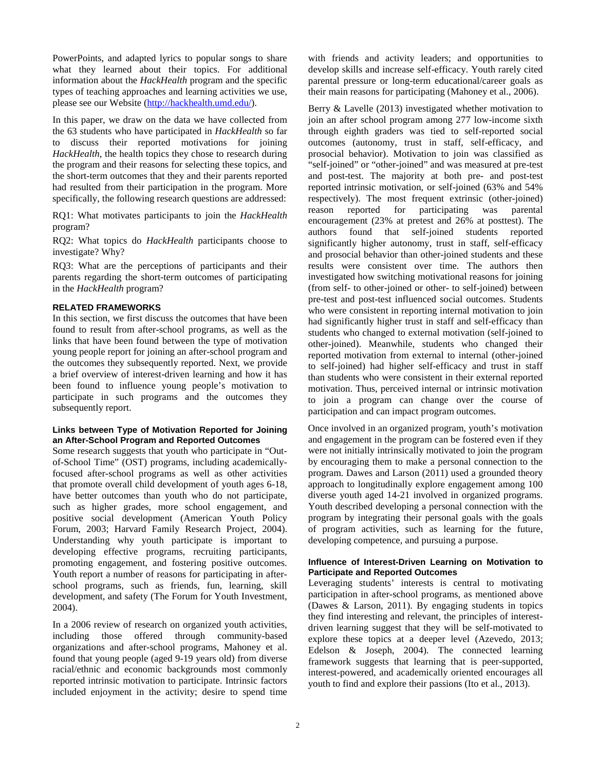PowerPoints, and adapted lyrics to popular songs to share what they learned about their topics. For additional information about the *HackHealth* program and the specific types of teaching approaches and learning activities we use, please see our Website [\(http://hackhealth.umd.edu/\)](http://hackhealth.umd.edu/).

In this paper, we draw on the data we have collected from the 63 students who have participated in *HackHealth* so far to discuss their reported motivations for joining *HackHealth*, the health topics they chose to research during the program and their reasons for selecting these topics, and the short-term outcomes that they and their parents reported had resulted from their participation in the program. More specifically, the following research questions are addressed:

RQ1: What motivates participants to join the *HackHealth* program?

RQ2: What topics do *HackHealth* participants choose to investigate? Why?

RQ3: What are the perceptions of participants and their parents regarding the short-term outcomes of participating in the *HackHealth* program?

# **RELATED FRAMEWORKS**

In this section, we first discuss the outcomes that have been found to result from after-school programs, as well as the links that have been found between the type of motivation young people report for joining an after-school program and the outcomes they subsequently reported. Next, we provide a brief overview of interest-driven learning and how it has been found to influence young people's motivation to participate in such programs and the outcomes they subsequently report.

# **Links between Type of Motivation Reported for Joining an After-School Program and Reported Outcomes**

Some research suggests that youth who participate in "Outof-School Time" (OST) programs, including academicallyfocused after-school programs as well as other activities that promote overall child development of youth ages 6-18, have better outcomes than youth who do not participate, such as higher grades, more school engagement, and positive social development (American Youth Policy Forum, 2003; Harvard Family Research Project, 2004). Understanding why youth participate is important to developing effective programs, recruiting participants, promoting engagement, and fostering positive outcomes. Youth report a number of reasons for participating in afterschool programs, such as friends, fun, learning, skill development, and safety (The Forum for Youth Investment, 2004).

In a 2006 review of research on organized youth activities, including those offered through community-based organizations and after-school programs, Mahoney et al. found that young people (aged 9-19 years old) from diverse racial/ethnic and economic backgrounds most commonly reported intrinsic motivation to participate. Intrinsic factors included enjoyment in the activity; desire to spend time with friends and activity leaders; and opportunities to develop skills and increase self-efficacy. Youth rarely cited parental pressure or long-term educational/career goals as their main reasons for participating (Mahoney et al., 2006).

Berry & Lavelle (2013) investigated whether motivation to join an after school program among 277 low-income sixth through eighth graders was tied to self-reported social outcomes (autonomy, trust in staff, self-efficacy, and prosocial behavior). Motivation to join was classified as "self-joined" or "other-joined" and was measured at pre-test and post-test. The majority at both pre- and post-test reported intrinsic motivation, or self-joined (63% and 54% respectively). The most frequent extrinsic (other-joined) reason reported for participating was parental encouragement (23% at pretest and 26% at posttest). The authors found that self-joined students reported significantly higher autonomy, trust in staff, self-efficacy and prosocial behavior than other-joined students and these results were consistent over time. The authors then investigated how switching motivational reasons for joining (from self- to other-joined or other- to self-joined) between pre-test and post-test influenced social outcomes. Students who were consistent in reporting internal motivation to join had significantly higher trust in staff and self-efficacy than students who changed to external motivation (self-joined to other-joined). Meanwhile, students who changed their reported motivation from external to internal (other-joined to self-joined) had higher self-efficacy and trust in staff than students who were consistent in their external reported motivation. Thus, perceived internal or intrinsic motivation to join a program can change over the course of participation and can impact program outcomes.

Once involved in an organized program, youth's motivation and engagement in the program can be fostered even if they were not initially intrinsically motivated to join the program by encouraging them to make a personal connection to the program. Dawes and Larson (2011) used a grounded theory approach to longitudinally explore engagement among 100 diverse youth aged 14-21 involved in organized programs. Youth described developing a personal connection with the program by integrating their personal goals with the goals of program activities, such as learning for the future, developing competence, and pursuing a purpose.

## **Influence of Interest-Driven Learning on Motivation to Participate and Reported Outcomes**

Leveraging students' interests is central to motivating participation in after-school programs, as mentioned above (Dawes & Larson, 2011). By engaging students in topics they find interesting and relevant, the principles of interestdriven learning suggest that they will be self-motivated to explore these topics at a deeper level (Azevedo, 2013; Edelson & Joseph, 2004). The connected learning framework suggests that learning that is peer-supported, interest-powered, and academically oriented encourages all youth to find and explore their passions (Ito et al., 2013).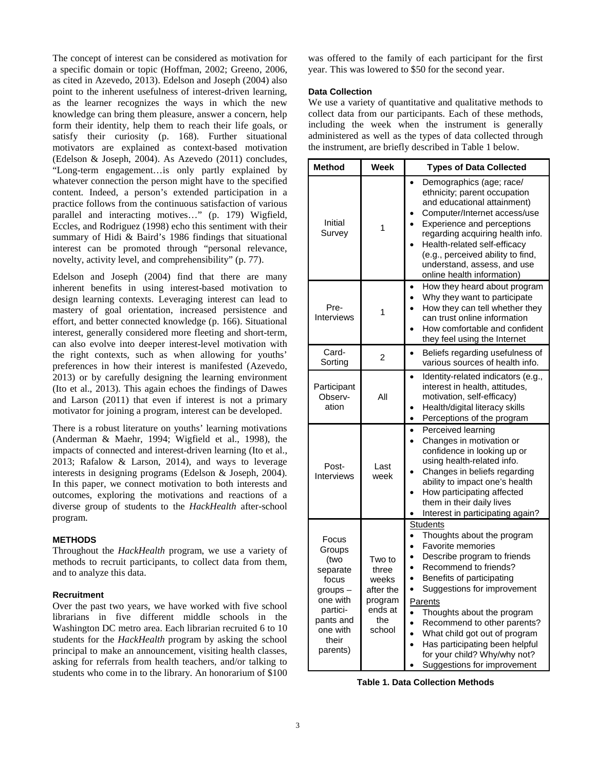The concept of interest can be considered as motivation for a specific domain or topic (Hoffman, 2002; Greeno, 2006, as cited in Azevedo, 2013). Edelson and Joseph (2004) also point to the inherent usefulness of interest-driven learning, as the learner recognizes the ways in which the new knowledge can bring them pleasure, answer a concern, help form their identity, help them to reach their life goals, or satisfy their curiosity (p. 168). Further situational motivators are explained as context-based motivation (Edelson & Joseph, 2004). As Azevedo (2011) concludes, "Long-term engagement…is only partly explained by whatever connection the person might have to the specified content. Indeed, a person's extended participation in a practice follows from the continuous satisfaction of various parallel and interacting motives..." (p. 179) Wigfield, Eccles, and Rodriguez (1998) echo this sentiment with their summary of Hidi & Baird's 1986 findings that situational interest can be promoted through "personal relevance, novelty, activity level, and comprehensibility" (p. 77).

Edelson and Joseph (2004) find that there are many inherent benefits in using interest-based motivation to design learning contexts. Leveraging interest can lead to mastery of goal orientation, increased persistence and effort, and better connected knowledge (p. 166). Situational interest, generally considered more fleeting and short-term, can also evolve into deeper interest-level motivation with the right contexts, such as when allowing for youths' preferences in how their interest is manifested (Azevedo, 2013) or by carefully designing the learning environment (Ito et al., 2013). This again echoes the findings of Dawes and Larson (2011) that even if interest is not a primary motivator for joining a program, interest can be developed.

There is a robust literature on youths' learning motivations (Anderman & Maehr, 1994; Wigfield et al., 1998), the impacts of connected and interest-driven learning (Ito et al., 2013; Rafalow & Larson, 2014), and ways to leverage interests in designing programs (Edelson & Joseph, 2004). In this paper, we connect motivation to both interests and outcomes, exploring the motivations and reactions of a diverse group of students to the *HackHealth* after-school program.

# **METHODS**

Throughout the *HackHealth* program, we use a variety of methods to recruit participants, to collect data from them, and to analyze this data.

#### **Recruitment**

Over the past two years, we have worked with five school librarians in five different middle schools in the Washington DC metro area. Each librarian recruited 6 to 10 students for the *HackHealth* program by asking the school principal to make an announcement, visiting health classes, asking for referrals from health teachers, and/or talking to students who come in to the library. An honorarium of \$100

was offered to the family of each participant for the first year. This was lowered to \$50 for the second year.

# **Data Collection**

We use a variety of quantitative and qualitative methods to collect data from our participants. Each of these methods, including the week when the instrument is generally administered as well as the types of data collected through the instrument, are briefly described in Table 1 below.

| <b>Method</b>                                                                                                                  | <b>Week</b>                                                                  | <b>Types of Data Collected</b>                                                                                                                                                                                                                                                                                                                                                                                |
|--------------------------------------------------------------------------------------------------------------------------------|------------------------------------------------------------------------------|---------------------------------------------------------------------------------------------------------------------------------------------------------------------------------------------------------------------------------------------------------------------------------------------------------------------------------------------------------------------------------------------------------------|
| Initial<br>Survey                                                                                                              | 1                                                                            | Demographics (age; race/<br>ethnicity; parent occupation<br>and educational attainment)<br>Computer/Internet access/use<br>Experience and perceptions<br>regarding acquiring health info.<br>Health-related self-efficacy<br>(e.g., perceived ability to find,<br>understand, assess, and use<br>online health information)                                                                                   |
| Pre-<br>Interviews                                                                                                             | 1                                                                            | How they heard about program<br>Why they want to participate<br>How they can tell whether they<br>can trust online information<br>How comfortable and confident<br>they feel using the Internet                                                                                                                                                                                                               |
| Card-<br>Sorting                                                                                                               | 2                                                                            | Beliefs regarding usefulness of<br>$\bullet$<br>various sources of health info.                                                                                                                                                                                                                                                                                                                               |
| Participant<br>Observ-<br>ation                                                                                                | All                                                                          | Identity-related indicators (e.g.,<br>interest in health, attitudes,<br>motivation, self-efficacy)<br>Health/digital literacy skills<br>Perceptions of the program<br>$\bullet$                                                                                                                                                                                                                               |
| Post-<br>Interviews                                                                                                            | Last<br>week                                                                 | Perceived learning<br>Changes in motivation or<br>confidence in looking up or<br>using health-related info.<br>Changes in beliefs regarding<br>ability to impact one's health<br>How participating affected<br>them in their daily lives<br>Interest in participating again?                                                                                                                                  |
| Focus<br>Groups<br>(two<br>separate<br>focus<br>groups -<br>one with<br>partici-<br>pants and<br>one with<br>their<br>parents) | Two to<br>three<br>weeks<br>after the<br>program<br>ends at<br>the<br>school | <b>Students</b><br>Thoughts about the program<br>Favorite memories<br>Describe program to friends<br>Recommend to friends?<br>Benefits of participating<br>Suggestions for improvement<br>Parents<br>Thoughts about the program<br>Recommend to other parents?<br>What child got out of program<br>Has participating been helpful<br>$\bullet$<br>for your child? Why/why not?<br>Suggestions for improvement |

**Table 1. Data Collection Methods**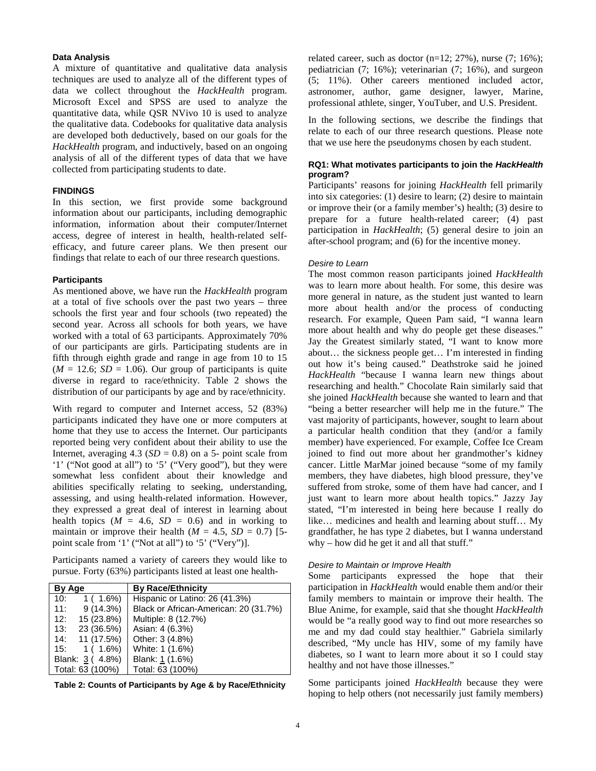# **Data Analysis**

A mixture of quantitative and qualitative data analysis techniques are used to analyze all of the different types of data we collect throughout the *HackHealth* program. Microsoft Excel and SPSS are used to analyze the quantitative data, while QSR NVivo 10 is used to analyze the qualitative data. Codebooks for qualitative data analysis are developed both deductively, based on our goals for the *HackHealth* program, and inductively, based on an ongoing analysis of all of the different types of data that we have collected from participating students to date.

#### **FINDINGS**

In this section, we first provide some background information about our participants, including demographic information, information about their computer/Internet access, degree of interest in health, health-related selfefficacy, and future career plans. We then present our findings that relate to each of our three research questions.

#### **Participants**

As mentioned above, we have run the *HackHealth* program at a total of five schools over the past two years – three schools the first year and four schools (two repeated) the second year. Across all schools for both years, we have worked with a total of 63 participants. Approximately 70% of our participants are girls. Participating students are in fifth through eighth grade and range in age from 10 to 15  $(M = 12.6; SD = 1.06)$ . Our group of participants is quite diverse in regard to race/ethnicity. Table 2 shows the distribution of our participants by age and by race/ethnicity.

With regard to computer and Internet access, 52 (83%) participants indicated they have one or more computers at home that they use to access the Internet. Our participants reported being very confident about their ability to use the Internet, averaging  $4.3$  (*SD* = 0.8) on a 5- point scale from '1' ("Not good at all") to '5' ("Very good"), but they were somewhat less confident about their knowledge and abilities specifically relating to seeking, understanding, assessing, and using health-related information. However, they expressed a great deal of interest in learning about health topics  $(M = 4.6, SD = 0.6)$  and in working to maintain or improve their health  $(M = 4.5, SD = 0.7)$  [5point scale from '1' ("Not at all") to '5' ("Very")].

Participants named a variety of careers they would like to pursue. Forty (63%) participants listed at least one health-

| By Age             | <b>By Race/Ethnicity</b>              |  |
|--------------------|---------------------------------------|--|
| $1(1.6\%)$<br>10:  | Hispanic or Latino: 26 (41.3%)        |  |
| $9(14.3\%)$<br>11: | Black or African-American: 20 (31.7%) |  |
| 15 (23.8%)<br>12:  | Multiple: 8 (12.7%)                   |  |
| 23 (36.5%)<br>13:  | Asian: 4 (6.3%)                       |  |
| 14: 11(17.5%)      | Other: 3 (4.8%)                       |  |
| $1(1.6\%)$<br>15:  | White: 1 (1.6%)                       |  |
| Blank: 3 (4.8%)    | Blank: 1 (1.6%)                       |  |
| Total: 63 (100%)   | Total: 63 (100%)                      |  |

**Table 2: Counts of Participants by Age & by Race/Ethnicity**

related career, such as doctor  $(n=12; 27\%)$ , nurse  $(7; 16\%)$ ; pediatrician (7; 16%); veterinarian (7; 16%), and surgeon (5; 11%). Other careers mentioned included actor, astronomer, author, game designer, lawyer, Marine, professional athlete, singer, YouTuber, and U.S. President.

In the following sections, we describe the findings that relate to each of our three research questions. Please note that we use here the pseudonyms chosen by each student.

# **RQ1: What motivates participants to join the** *HackHealth* **program?**

Participants' reasons for joining *HackHealth* fell primarily into six categories: (1) desire to learn; (2) desire to maintain or improve their (or a family member's) health; (3) desire to prepare for a future health-related career; (4) past participation in *HackHealth*; (5) general desire to join an after-school program; and (6) for the incentive money.

#### *Desire to Learn*

The most common reason participants joined *HackHealth* was to learn more about health. For some, this desire was more general in nature, as the student just wanted to learn more about health and/or the process of conducting research. For example, Queen Pam said, "I wanna learn more about health and why do people get these diseases." Jay the Greatest similarly stated, "I want to know more about… the sickness people get… I'm interested in finding out how it's being caused." Deathstroke said he joined *HackHealth* "because I wanna learn new things about researching and health." Chocolate Rain similarly said that she joined *HackHealth* because she wanted to learn and that "being a better researcher will help me in the future." The vast majority of participants, however, sought to learn about a particular health condition that they (and/or a family member) have experienced. For example, Coffee Ice Cream joined to find out more about her grandmother's kidney cancer. Little MarMar joined because "some of my family members, they have diabetes, high blood pressure, they've suffered from stroke, some of them have had cancer, and I just want to learn more about health topics." Jazzy Jay stated, "I'm interested in being here because I really do like… medicines and health and learning about stuff… My grandfather, he has type 2 diabetes, but I wanna understand why – how did he get it and all that stuff."

#### *Desire to Maintain or Improve Health*

Some participants expressed the hope that their participation in *HackHealth* would enable them and/or their family members to maintain or improve their health. The Blue Anime, for example, said that she thought *HackHealth* would be "a really good way to find out more researches so me and my dad could stay healthier." Gabriela similarly described, "My uncle has HIV, some of my family have diabetes, so I want to learn more about it so I could stay healthy and not have those illnesses."

Some participants joined *HackHealth* because they were hoping to help others (not necessarily just family members)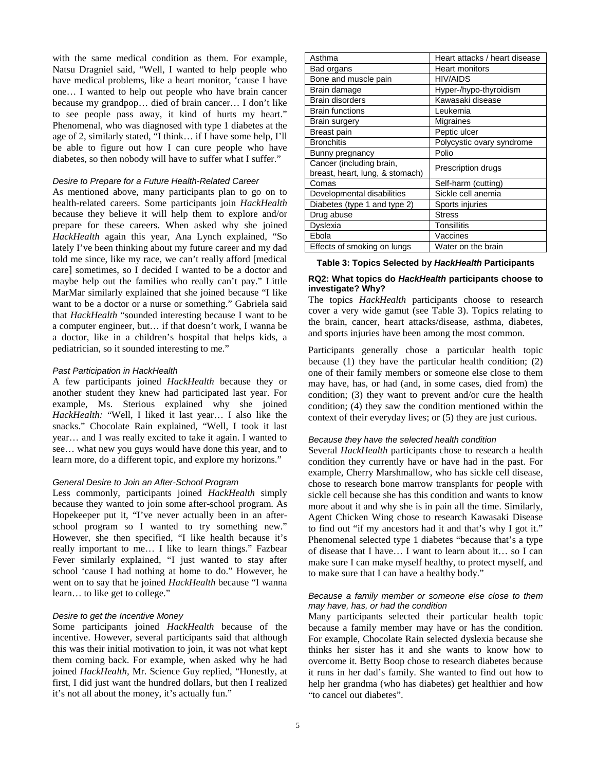with the same medical condition as them. For example, Natsu Dragniel said, "Well, I wanted to help people who have medical problems, like a heart monitor, 'cause I have one… I wanted to help out people who have brain cancer because my grandpop… died of brain cancer… I don't like to see people pass away, it kind of hurts my heart." Phenomenal, who was diagnosed with type 1 diabetes at the age of 2, similarly stated, "I think… if I have some help, I'll be able to figure out how I can cure people who have diabetes, so then nobody will have to suffer what I suffer."

#### *Desire to Prepare for a Future Health-Related Career*

As mentioned above, many participants plan to go on to health-related careers. Some participants join *HackHealth* because they believe it will help them to explore and/or prepare for these careers. When asked why she joined *HackHealth* again this year, Ana Lynch explained, "So lately I've been thinking about my future career and my dad told me since, like my race, we can't really afford [medical care] sometimes, so I decided I wanted to be a doctor and maybe help out the families who really can't pay." Little MarMar similarly explained that she joined because "I like want to be a doctor or a nurse or something." Gabriela said that *HackHealth* "sounded interesting because I want to be a computer engineer, but… if that doesn't work, I wanna be a doctor, like in a children's hospital that helps kids, a pediatrician, so it sounded interesting to me."

# *Past Participation in HackHealth*

A few participants joined *HackHealth* because they or another student they knew had participated last year. For example, Ms. Sterious explained why she joined *HackHealth:* "Well, I liked it last year… I also like the snacks." Chocolate Rain explained, "Well, I took it last year… and I was really excited to take it again. I wanted to see… what new you guys would have done this year, and to learn more, do a different topic, and explore my horizons."

#### *General Desire to Join an After-School Program*

Less commonly, participants joined *HackHealth* simply because they wanted to join some after-school program. As Hopekeeper put it, "I've never actually been in an afterschool program so I wanted to try something new." However, she then specified, "I like health because it's really important to me… I like to learn things." Fazbear Fever similarly explained, "I just wanted to stay after school 'cause I had nothing at home to do." However, he went on to say that he joined *HackHealth* because "I wanna learn… to like get to college."

#### *Desire to get the Incentive Money*

Some participants joined *HackHealth* because of the incentive. However, several participants said that although this was their initial motivation to join, it was not what kept them coming back. For example, when asked why he had joined *HackHealth*, Mr. Science Guy replied, "Honestly, at first, I did just want the hundred dollars, but then I realized it's not all about the money, it's actually fun."

| Asthma                          | Heart attacks / heart disease |
|---------------------------------|-------------------------------|
| Bad organs                      | Heart monitors                |
| Bone and muscle pain            | <b>HIV/AIDS</b>               |
| Brain damage                    | Hyper-/hypo-thyroidism        |
| Brain disorders                 | Kawasaki disease              |
| <b>Brain functions</b>          | Leukemia                      |
| Brain surgery                   | Migraines                     |
| Breast pain                     | Peptic ulcer                  |
| <b>Bronchitis</b>               | Polycystic ovary syndrome     |
| Bunny pregnancy                 | Polio                         |
| Cancer (including brain,        | Prescription drugs            |
| breast, heart, lung, & stomach) |                               |
| Comas                           | Self-harm (cutting)           |
| Developmental disabilities      | Sickle cell anemia            |
| Diabetes (type 1 and type 2)    | Sports injuries               |
| Drug abuse                      | <b>Stress</b>                 |
| Dyslexia                        | Tonsillitis                   |
| Ebola                           | Vaccines                      |
| Effects of smoking on lungs     | Water on the brain            |
|                                 |                               |

**Table 3: Topics Selected by** *HackHealth* **Participants**

# **RQ2: What topics do** *HackHealth* **participants choose to investigate? Why?**

The topics *HackHealth* participants choose to research cover a very wide gamut (see Table 3). Topics relating to the brain, cancer, heart attacks/disease, asthma, diabetes, and sports injuries have been among the most common.

Participants generally chose a particular health topic because (1) they have the particular health condition;  $(2)$ one of their family members or someone else close to them may have, has, or had (and, in some cases, died from) the condition; (3) they want to prevent and/or cure the health condition; (4) they saw the condition mentioned within the context of their everyday lives; or (5) they are just curious.

#### *Because they have the selected health condition*

Several *HackHealth* participants chose to research a health condition they currently have or have had in the past. For example, Cherry Marshmallow, who has sickle cell disease, chose to research bone marrow transplants for people with sickle cell because she has this condition and wants to know more about it and why she is in pain all the time. Similarly, Agent Chicken Wing chose to research Kawasaki Disease to find out "if my ancestors had it and that's why I got it." Phenomenal selected type 1 diabetes "because that's a type of disease that I have… I want to learn about it… so I can make sure I can make myself healthy, to protect myself, and to make sure that I can have a healthy body."

#### *Because a family member or someone else close to them may have, has, or had the condition*

Many participants selected their particular health topic because a family member may have or has the condition. For example, Chocolate Rain selected dyslexia because she thinks her sister has it and she wants to know how to overcome it. Betty Boop chose to research diabetes because it runs in her dad's family. She wanted to find out how to help her grandma (who has diabetes) get healthier and how "to cancel out diabetes".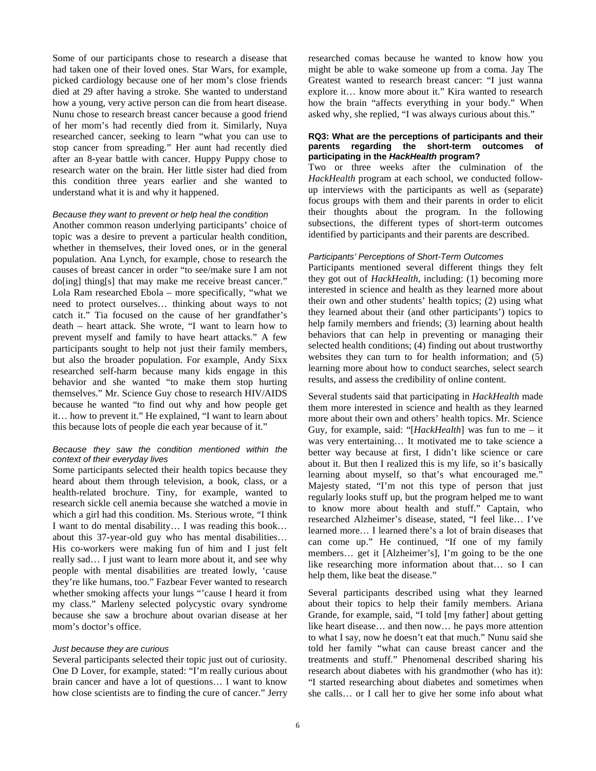Some of our participants chose to research a disease that had taken one of their loved ones. Star Wars, for example, picked cardiology because one of her mom's close friends died at 29 after having a stroke. She wanted to understand how a young, very active person can die from heart disease. Nunu chose to research breast cancer because a good friend of her mom's had recently died from it. Similarly, Nuya researched cancer, seeking to learn "what you can use to stop cancer from spreading." Her aunt had recently died after an 8-year battle with cancer. Huppy Puppy chose to research water on the brain. Her little sister had died from this condition three years earlier and she wanted to understand what it is and why it happened.

## *Because they want to prevent or help heal the condition*

Another common reason underlying participants' choice of topic was a desire to prevent a particular health condition, whether in themselves, their loved ones, or in the general population. Ana Lynch, for example, chose to research the causes of breast cancer in order "to see/make sure I am not do[ing] thing[s] that may make me receive breast cancer." Lola Ram researched Ebola – more specifically, "what we need to protect ourselves… thinking about ways to not catch it." Tia focused on the cause of her grandfather's death – heart attack. She wrote, "I want to learn how to prevent myself and family to have heart attacks." A few participants sought to help not just their family members, but also the broader population. For example, Andy Sixx researched self-harm because many kids engage in this behavior and she wanted "to make them stop hurting themselves." Mr. Science Guy chose to research HIV/AIDS because he wanted "to find out why and how people get it… how to prevent it." He explained, "I want to learn about this because lots of people die each year because of it."

# *Because they saw the condition mentioned within the context of their everyday lives*

Some participants selected their health topics because they heard about them through television, a book, class, or a health-related brochure. Tiny, for example, wanted to research sickle cell anemia because she watched a movie in which a girl had this condition. Ms. Sterious wrote, "I think I want to do mental disability… I was reading this book… about this 37-year-old guy who has mental disabilities… His co-workers were making fun of him and I just felt really sad… I just want to learn more about it, and see why people with mental disabilities are treated lowly, 'cause they're like humans, too." Fazbear Fever wanted to research whether smoking affects your lungs "'cause I heard it from my class." Marleny selected polycystic ovary syndrome because she saw a brochure about ovarian disease at her mom's doctor's office.

#### *Just because they are curious*

Several participants selected their topic just out of curiosity. One D Lover, for example, stated: "I'm really curious about brain cancer and have a lot of questions… I want to know how close scientists are to finding the cure of cancer." Jerry researched comas because he wanted to know how you might be able to wake someone up from a coma. Jay The Greatest wanted to research breast cancer: "I just wanna explore it… know more about it." Kira wanted to research how the brain "affects everything in your body." When asked why, she replied, "I was always curious about this."

#### **RQ3: What are the perceptions of participants and their parents regarding the short-term outcomes of participating in the** *HackHealth* **program?**

Two or three weeks after the culmination of the *HackHealth* program at each school, we conducted followup interviews with the participants as well as (separate) focus groups with them and their parents in order to elicit their thoughts about the program. In the following subsections, the different types of short-term outcomes identified by participants and their parents are described.

### *Participants' Perceptions of Short-Term Outcomes*

Participants mentioned several different things they felt they got out of *HackHealth*, including: (1) becoming more interested in science and health as they learned more about their own and other students' health topics; (2) using what they learned about their (and other participants') topics to help family members and friends; (3) learning about health behaviors that can help in preventing or managing their selected health conditions; (4) finding out about trustworthy websites they can turn to for health information; and (5) learning more about how to conduct searches, select search results, and assess the credibility of online content.

Several students said that participating in *HackHealth* made them more interested in science and health as they learned more about their own and others' health topics. Mr. Science Guy, for example, said: "[*HackHealth*] was fun to me – it was very entertaining… It motivated me to take science a better way because at first, I didn't like science or care about it. But then I realized this is my life, so it's basically learning about myself, so that's what encouraged me." Majesty stated, "I'm not this type of person that just regularly looks stuff up, but the program helped me to want to know more about health and stuff." Captain, who researched Alzheimer's disease, stated, "I feel like… I've learned more… I learned there's a lot of brain diseases that can come up." He continued, "If one of my family members… get it [Alzheimer's], I'm going to be the one like researching more information about that… so I can help them, like beat the disease."

Several participants described using what they learned about their topics to help their family members. Ariana Grande, for example, said, "I told [my father] about getting like heart disease… and then now… he pays more attention to what I say, now he doesn't eat that much." Nunu said she told her family "what can cause breast cancer and the treatments and stuff." Phenomenal described sharing his research about diabetes with his grandmother (who has it): "I started researching about diabetes and sometimes when she calls… or I call her to give her some info about what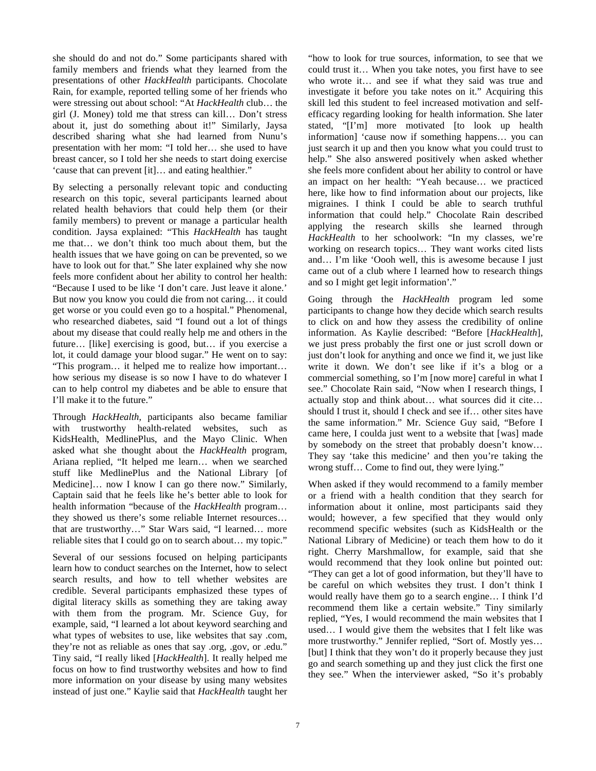she should do and not do." Some participants shared with family members and friends what they learned from the presentations of other *HackHealth* participants. Chocolate Rain, for example, reported telling some of her friends who were stressing out about school: "At *HackHealth* club… the girl (J. Money) told me that stress can kill… Don't stress about it, just do something about it!" Similarly, Jaysa described sharing what she had learned from Nunu's presentation with her mom: "I told her… she used to have breast cancer, so I told her she needs to start doing exercise 'cause that can prevent [it]… and eating healthier."

By selecting a personally relevant topic and conducting research on this topic, several participants learned about related health behaviors that could help them (or their family members) to prevent or manage a particular health condition. Jaysa explained: "This *HackHealth* has taught me that… we don't think too much about them, but the health issues that we have going on can be prevented, so we have to look out for that." She later explained why she now feels more confident about her ability to control her health: "Because I used to be like 'I don't care. Just leave it alone.' But now you know you could die from not caring… it could get worse or you could even go to a hospital." Phenomenal, who researched diabetes, said "I found out a lot of things about my disease that could really help me and others in the future... [like] exercising is good, but... if you exercise a lot, it could damage your blood sugar." He went on to say: "This program… it helped me to realize how important… how serious my disease is so now I have to do whatever I can to help control my diabetes and be able to ensure that I'll make it to the future."

Through *HackHealth*, participants also became familiar with trustworthy health-related websites, such as KidsHealth, MedlinePlus, and the Mayo Clinic. When asked what she thought about the *HackHealth* program, Ariana replied, "It helped me learn… when we searched stuff like MedlinePlus and the National Library [of Medicine]… now I know I can go there now." Similarly, Captain said that he feels like he's better able to look for health information "because of the *HackHealth* program… they showed us there's some reliable Internet resources… that are trustworthy…" Star Wars said, "I learned… more reliable sites that I could go on to search about… my topic."

Several of our sessions focused on helping participants learn how to conduct searches on the Internet, how to select search results, and how to tell whether websites are credible. Several participants emphasized these types of digital literacy skills as something they are taking away with them from the program. Mr. Science Guy, for example, said, "I learned a lot about keyword searching and what types of websites to use, like websites that say .com, they're not as reliable as ones that say .org, .gov, or .edu." Tiny said, "I really liked [*HackHealth*]. It really helped me focus on how to find trustworthy websites and how to find more information on your disease by using many websites instead of just one." Kaylie said that *HackHealth* taught her

"how to look for true sources, information, to see that we could trust it… When you take notes, you first have to see who wrote it… and see if what they said was true and investigate it before you take notes on it." Acquiring this skill led this student to feel increased motivation and selfefficacy regarding looking for health information. She later stated, "[I'm] more motivated [to look up health information] 'cause now if something happens… you can just search it up and then you know what you could trust to help." She also answered positively when asked whether she feels more confident about her ability to control or have an impact on her health: "Yeah because… we practiced here, like how to find information about our projects, like migraines. I think I could be able to search truthful information that could help." Chocolate Rain described applying the research skills she learned through *HackHealth* to her schoolwork: "In my classes, we're working on research topics… They want works cited lists and… I'm like 'Oooh well, this is awesome because I just came out of a club where I learned how to research things and so I might get legit information'."

Going through the *HackHealth* program led some participants to change how they decide which search results to click on and how they assess the credibility of online information. As Kaylie described: "Before [*HackHealth*], we just press probably the first one or just scroll down or just don't look for anything and once we find it, we just like write it down. We don't see like if it's a blog or a commercial something, so I'm [now more] careful in what I see." Chocolate Rain said, "Now when I research things, I actually stop and think about… what sources did it cite… should I trust it, should I check and see if… other sites have the same information." Mr. Science Guy said, "Before I came here, I coulda just went to a website that [was] made by somebody on the street that probably doesn't know… They say 'take this medicine' and then you're taking the wrong stuff… Come to find out, they were lying."

When asked if they would recommend to a family member or a friend with a health condition that they search for information about it online, most participants said they would; however, a few specified that they would only recommend specific websites (such as KidsHealth or the National Library of Medicine) or teach them how to do it right. Cherry Marshmallow, for example, said that she would recommend that they look online but pointed out: "They can get a lot of good information, but they'll have to be careful on which websites they trust. I don't think I would really have them go to a search engine… I think I'd recommend them like a certain website." Tiny similarly replied, "Yes, I would recommend the main websites that I used… I would give them the websites that I felt like was more trustworthy." Jennifer replied, "Sort of. Mostly yes… [but] I think that they won't do it properly because they just go and search something up and they just click the first one they see." When the interviewer asked, "So it's probably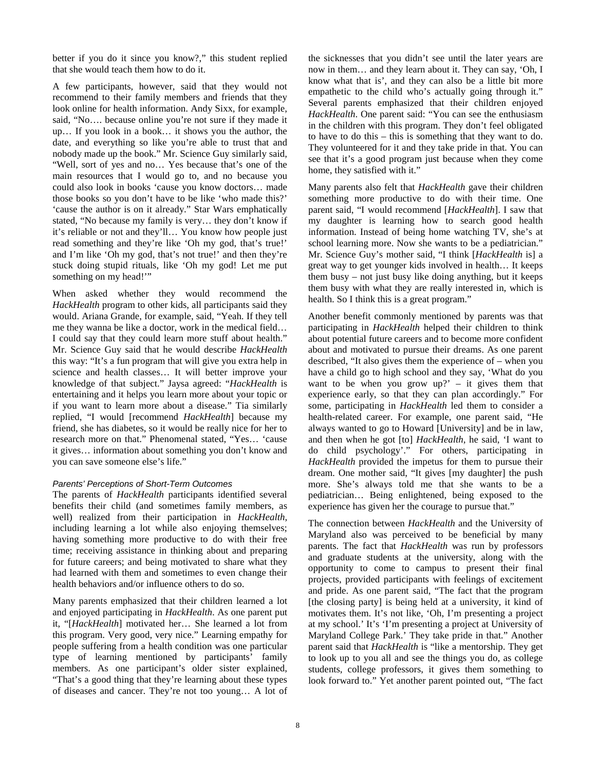better if you do it since you know?," this student replied that she would teach them how to do it.

A few participants, however, said that they would not recommend to their family members and friends that they look online for health information. Andy Sixx, for example, said, "No…. because online you're not sure if they made it up… If you look in a book… it shows you the author, the date, and everything so like you're able to trust that and nobody made up the book." Mr. Science Guy similarly said, "Well, sort of yes and no… Yes because that's one of the main resources that I would go to, and no because you could also look in books 'cause you know doctors… made those books so you don't have to be like 'who made this?' 'cause the author is on it already." Star Wars emphatically stated, "No because my family is very… they don't know if it's reliable or not and they'll… You know how people just read something and they're like 'Oh my god, that's true!' and I'm like 'Oh my god, that's not true!' and then they're stuck doing stupid rituals, like 'Oh my god! Let me put something on my head!"

When asked whether they would recommend the *HackHealth* program to other kids, all participants said they would. Ariana Grande, for example, said, "Yeah. If they tell me they wanna be like a doctor, work in the medical field… I could say that they could learn more stuff about health." Mr. Science Guy said that he would describe *HackHealth* this way: "It's a fun program that will give you extra help in science and health classes… It will better improve your knowledge of that subject." Jaysa agreed: "*HackHealth* is entertaining and it helps you learn more about your topic or if you want to learn more about a disease." Tia similarly replied, "I would [recommend *HackHealth*] because my friend, she has diabetes, so it would be really nice for her to research more on that." Phenomenal stated, "Yes… 'cause it gives… information about something you don't know and you can save someone else's life."

#### *Parents' Perceptions of Short-Term Outcomes*

The parents of *HackHealth* participants identified several benefits their child (and sometimes family members, as well) realized from their participation in *HackHealth*, including learning a lot while also enjoying themselves; having something more productive to do with their free time; receiving assistance in thinking about and preparing for future careers; and being motivated to share what they had learned with them and sometimes to even change their health behaviors and/or influence others to do so.

Many parents emphasized that their children learned a lot and enjoyed participating in *HackHealth*. As one parent put it, "[*HackHealth*] motivated her… She learned a lot from this program. Very good, very nice." Learning empathy for people suffering from a health condition was one particular type of learning mentioned by participants' family members. As one participant's older sister explained, "That's a good thing that they're learning about these types of diseases and cancer. They're not too young… A lot of the sicknesses that you didn't see until the later years are now in them… and they learn about it. They can say, 'Oh, I know what that is', and they can also be a little bit more empathetic to the child who's actually going through it." Several parents emphasized that their children enjoyed *HackHealth*. One parent said: "You can see the enthusiasm in the children with this program. They don't feel obligated to have to do this – this is something that they want to do. They volunteered for it and they take pride in that. You can see that it's a good program just because when they come home, they satisfied with it."

Many parents also felt that *HackHealth* gave their children something more productive to do with their time. One parent said, "I would recommend [*HackHealth*]. I saw that my daughter is learning how to search good health information. Instead of being home watching TV, she's at school learning more. Now she wants to be a pediatrician." Mr. Science Guy's mother said, "I think [*HackHealth* is] a great way to get younger kids involved in health… It keeps them busy – not just busy like doing anything, but it keeps them busy with what they are really interested in, which is health. So I think this is a great program."

Another benefit commonly mentioned by parents was that participating in *HackHealth* helped their children to think about potential future careers and to become more confident about and motivated to pursue their dreams. As one parent described, "It also gives them the experience of – when you have a child go to high school and they say, 'What do you want to be when you grow  $up$ ? – it gives them that experience early, so that they can plan accordingly." For some, participating in *HackHealth* led them to consider a health-related career. For example, one parent said, "He always wanted to go to Howard [University] and be in law, and then when he got [to] *HackHealth*, he said, 'I want to do child psychology'." For others, participating in *HackHealth* provided the impetus for them to pursue their dream. One mother said, "It gives [my daughter] the push more. She's always told me that she wants to be a pediatrician… Being enlightened, being exposed to the experience has given her the courage to pursue that."

The connection between *HackHealth* and the University of Maryland also was perceived to be beneficial by many parents. The fact that *HackHealth* was run by professors and graduate students at the university, along with the opportunity to come to campus to present their final projects, provided participants with feelings of excitement and pride. As one parent said, "The fact that the program [the closing party] is being held at a university, it kind of motivates them. It's not like, 'Oh, I'm presenting a project at my school.' It's 'I'm presenting a project at University of Maryland College Park.' They take pride in that." Another parent said that *HackHealth* is "like a mentorship. They get to look up to you all and see the things you do, as college students, college professors, it gives them something to look forward to." Yet another parent pointed out, "The fact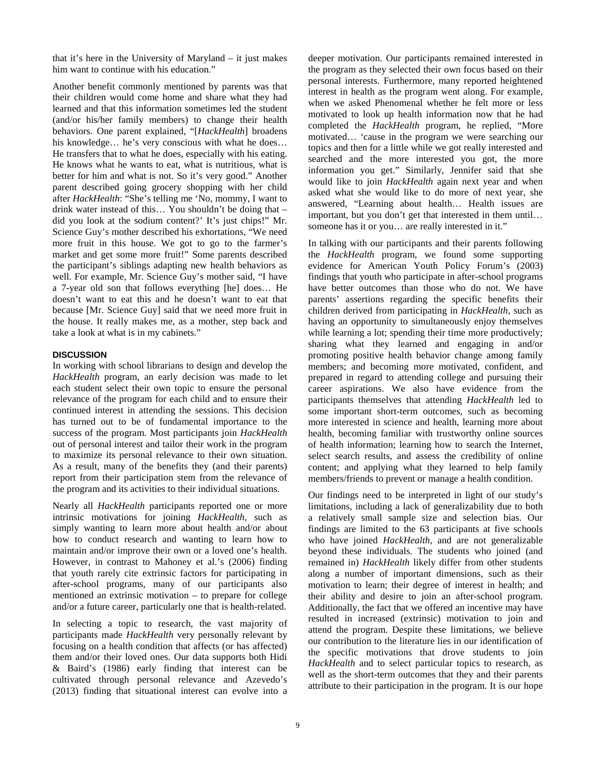that it's here in the University of Maryland – it just makes him want to continue with his education."

Another benefit commonly mentioned by parents was that their children would come home and share what they had learned and that this information sometimes led the student (and/or his/her family members) to change their health behaviors. One parent explained, "[*HackHealth*] broadens his knowledge… he's very conscious with what he does… He transfers that to what he does, especially with his eating. He knows what he wants to eat, what is nutritious, what is better for him and what is not. So it's very good." Another parent described going grocery shopping with her child after *HackHealth*: "She's telling me 'No, mommy, I want to drink water instead of this… You shouldn't be doing that – did you look at the sodium content?' It's just chips!" Mr. Science Guy's mother described his exhortations, "We need more fruit in this house. We got to go to the farmer's market and get some more fruit!" Some parents described the participant's siblings adapting new health behaviors as well. For example, Mr. Science Guy's mother said, "I have a 7-year old son that follows everything [he] does… He doesn't want to eat this and he doesn't want to eat that because [Mr. Science Guy] said that we need more fruit in the house. It really makes me, as a mother, step back and take a look at what is in my cabinets."

# **DISCUSSION**

In working with school librarians to design and develop the *HackHealth* program, an early decision was made to let each student select their own topic to ensure the personal relevance of the program for each child and to ensure their continued interest in attending the sessions. This decision has turned out to be of fundamental importance to the success of the program. Most participants join *HackHealth* out of personal interest and tailor their work in the program to maximize its personal relevance to their own situation. As a result, many of the benefits they (and their parents) report from their participation stem from the relevance of the program and its activities to their individual situations.

Nearly all *HackHealth* participants reported one or more intrinsic motivations for joining *HackHealth*, such as simply wanting to learn more about health and/or about how to conduct research and wanting to learn how to maintain and/or improve their own or a loved one's health. However, in contrast to Mahoney et al.'s (2006) finding that youth rarely cite extrinsic factors for participating in after-school programs, many of our participants also mentioned an extrinsic motivation – to prepare for college and/or a future career, particularly one that is health-related.

In selecting a topic to research, the vast majority of participants made *HackHealth* very personally relevant by focusing on a health condition that affects (or has affected) them and/or their loved ones. Our data supports both Hidi & Baird's (1986) early finding that interest can be cultivated through personal relevance and Azevedo's (2013) finding that situational interest can evolve into a

deeper motivation. Our participants remained interested in the program as they selected their own focus based on their personal interests. Furthermore, many reported heightened interest in health as the program went along. For example, when we asked Phenomenal whether he felt more or less motivated to look up health information now that he had completed the *HackHealth* program, he replied, "More motivated… 'cause in the program we were searching our topics and then for a little while we got really interested and searched and the more interested you got, the more information you get." Similarly, Jennifer said that she would like to join *HackHealth* again next year and when asked what she would like to do more of next year, she answered, "Learning about health… Health issues are important, but you don't get that interested in them until… someone has it or you… are really interested in it."

In talking with our participants and their parents following the *HackHealth* program, we found some supporting evidence for American Youth Policy Forum's (2003) findings that youth who participate in after-school programs have better outcomes than those who do not. We have parents' assertions regarding the specific benefits their children derived from participating in *HackHealth*, such as having an opportunity to simultaneously enjoy themselves while learning a lot; spending their time more productively; sharing what they learned and engaging in and/or promoting positive health behavior change among family members; and becoming more motivated, confident, and prepared in regard to attending college and pursuing their career aspirations. We also have evidence from the participants themselves that attending *HackHealth* led to some important short-term outcomes, such as becoming more interested in science and health, learning more about health, becoming familiar with trustworthy online sources of health information; learning how to search the Internet, select search results, and assess the credibility of online content; and applying what they learned to help family members/friends to prevent or manage a health condition.

Our findings need to be interpreted in light of our study's limitations, including a lack of generalizability due to both a relatively small sample size and selection bias. Our findings are limited to the 63 participants at five schools who have joined *HackHealth*, and are not generalizable beyond these individuals. The students who joined (and remained in) *HackHealth* likely differ from other students along a number of important dimensions, such as their motivation to learn; their degree of interest in health; and their ability and desire to join an after-school program. Additionally, the fact that we offered an incentive may have resulted in increased (extrinsic) motivation to join and attend the program. Despite these limitations, we believe our contribution to the literature lies in our identification of the specific motivations that drove students to join *HackHealth* and to select particular topics to research, as well as the short-term outcomes that they and their parents attribute to their participation in the program. It is our hope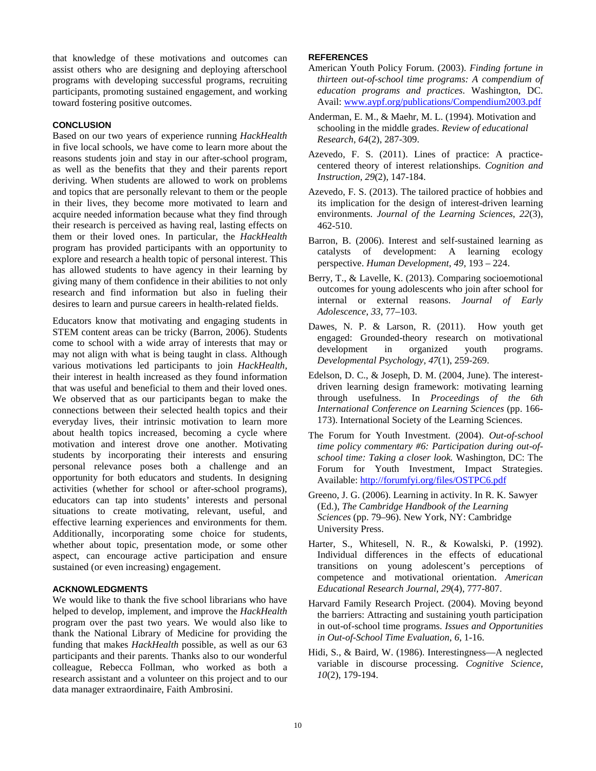that knowledge of these motivations and outcomes can assist others who are designing and deploying afterschool programs with developing successful programs, recruiting participants, promoting sustained engagement, and working toward fostering positive outcomes.

## **CONCLUSION**

Based on our two years of experience running *HackHealth* in five local schools, we have come to learn more about the reasons students join and stay in our after-school program, as well as the benefits that they and their parents report deriving. When students are allowed to work on problems and topics that are personally relevant to them or the people in their lives, they become more motivated to learn and acquire needed information because what they find through their research is perceived as having real, lasting effects on them or their loved ones. In particular, the *HackHealth* program has provided participants with an opportunity to explore and research a health topic of personal interest. This has allowed students to have agency in their learning by giving many of them confidence in their abilities to not only research and find information but also in fueling their desires to learn and pursue careers in health-related fields.

Educators know that motivating and engaging students in STEM content areas can be tricky (Barron, 2006). Students come to school with a wide array of interests that may or may not align with what is being taught in class. Although various motivations led participants to join *HackHealth*, their interest in health increased as they found information that was useful and beneficial to them and their loved ones. We observed that as our participants began to make the connections between their selected health topics and their everyday lives, their intrinsic motivation to learn more about health topics increased, becoming a cycle where motivation and interest drove one another. Motivating students by incorporating their interests and ensuring personal relevance poses both a challenge and an opportunity for both educators and students. In designing activities (whether for school or after-school programs), educators can tap into students' interests and personal situations to create motivating, relevant, useful, and effective learning experiences and environments for them. Additionally, incorporating some choice for students, whether about topic, presentation mode, or some other aspect, can encourage active participation and ensure sustained (or even increasing) engagement.

# **ACKNOWLEDGMENTS**

We would like to thank the five school librarians who have helped to develop, implement, and improve the *HackHealth* program over the past two years. We would also like to thank the National Library of Medicine for providing the funding that makes *HackHealth* possible, as well as our 63 participants and their parents. Thanks also to our wonderful colleague, Rebecca Follman, who worked as both a research assistant and a volunteer on this project and to our data manager extraordinaire, Faith Ambrosini.

# **REFERENCES**

- American Youth Policy Forum. (2003). *Finding fortune in thirteen out-of-school time programs: A compendium of education programs and practices*. Washington, DC. Avail[: www.aypf.org/publications/Compendium2003.pdf](http://www.aypf.org/publications/Compendium2003.pdf)
- Anderman, E. M., & Maehr, M. L. (1994). Motivation and schooling in the middle grades. *Review of educational Research*, *64*(2), 287-309.
- Azevedo, F. S. (2011). Lines of practice: A practicecentered theory of interest relationships. *Cognition and Instruction*, *29*(2), 147-184.
- Azevedo, F. S. (2013). The tailored practice of hobbies and its implication for the design of interest-driven learning environments. *Journal of the Learning Sciences*, *22*(3), 462-510.
- Barron, B. (2006). Interest and self-sustained learning as catalysts of development: A learning ecology perspective. *Human Development*, *49*, 193 – 224.
- Berry, T., & Lavelle, K. (2013). Comparing socioemotional outcomes for young adolescents who join after school for internal or external reasons. *Journal of Early Adolescence*, *33*, 77–103.
- Dawes, N. P. & Larson, R. (2011). How youth get engaged: Grounded-theory research on motivational development in organized youth programs. *Developmental Psychology, 47*(1), 259-269.
- Edelson, D. C., & Joseph, D. M. (2004, June). The interestdriven learning design framework: motivating learning through usefulness. In *Proceedings of the 6th International Conference on Learning Sciences* (pp. 166- 173). International Society of the Learning Sciences.
- The Forum for Youth Investment. (2004). *Out-of-school time policy commentary #6: Participation during out-ofschool time: Taking a closer look.* Washington, DC: The Forum for Youth Investment, Impact Strategies. Available: <http://forumfyi.org/files/OSTPC6.pdf>
- Greeno, J. G. (2006). Learning in activity. In R. K. Sawyer (Ed.), *The Cambridge Handbook of the Learning Sciences* (pp. 79–96). New York, NY: Cambridge University Press.
- Harter, S., Whitesell, N. R., & Kowalski, P. (1992). Individual differences in the effects of educational transitions on young adolescent's perceptions of competence and motivational orientation. *American Educational Research Journal*, *29*(4), 777-807.
- Harvard Family Research Project. (2004). Moving beyond the barriers: Attracting and sustaining youth participation in out-of-school time programs. *Issues and Opportunities in Out-of-School Time Evaluation*, *6*, 1-16.
- Hidi, S., & Baird, W. (1986). Interestingness—A neglected variable in discourse processing. *Cognitive Science*, *10*(2), 179-194.